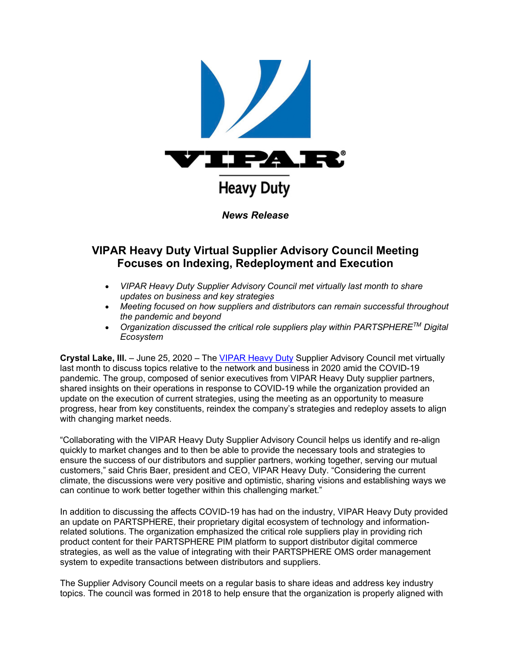

## **VIPAR Heavy Duty Virtual Supplier Advisory Council Meeting Focuses on Indexing, Redeployment and Execution**

- *VIPAR Heavy Duty Supplier Advisory Council met virtually last month to share updates on business and key strategies*
- *Meeting focused on how suppliers and distributors can remain successful throughout the pandemic and beyond*
- *Organization discussed the critical role suppliers play within PARTSPHERETM Digital Ecosystem*

**Crystal Lake, Ill.** – June 25, 2020 – The [VIPAR Heavy Duty](https://u7061146.ct.sendgrid.net/ls/click?upn=TeZUXWpUv-2B6TCY38pVLo9gN6DTGiavGxL76HpykJj88-3D382B_GVJEK9O3SNtoXCTVqtHHuZICRv8AuvD4nhCr-2BqrWSGQ0YRfxIfxQIIjjP-2FzzfgjgXFx1tscTv0ND-2B5Q8P5sfme61YjcKwV0ipKbqxLqQXiZnPqj7U4DkmHAoesgLv2ZkWGjzJjWObnP0qYtTyp73d39pXxlubcFyKjqmOycqVU9W6NS61-2FlGntAdVAf6mtBUbArTObkRdADOfqzT6YzTfYMfUlwmLD6qpPJByNTIMlC5Jdu5YXnQsJGz2kra-2FqNnLXrP6LVNnYlkG-2F2ekC-2FhmUwafDE0x04KXKqwaEeG8J3k10IwXydPw0yQAktVUVyZqCKVpl2UujsXJItqEAlt3ogzH0jwsziwA4RjVXDTM-2FI-3D) Supplier Advisory Council met virtually last month to discuss topics relative to the network and business in 2020 amid the COVID-19 pandemic. The group, composed of senior executives from VIPAR Heavy Duty supplier partners, shared insights on their operations in response to COVID-19 while the organization provided an update on the execution of current strategies, using the meeting as an opportunity to measure progress, hear from key constituents, reindex the company's strategies and redeploy assets to align with changing market needs.

"Collaborating with the VIPAR Heavy Duty Supplier Advisory Council helps us identify and re-align quickly to market changes and to then be able to provide the necessary tools and strategies to ensure the success of our distributors and supplier partners, working together, serving our mutual customers," said Chris Baer, president and CEO, VIPAR Heavy Duty. "Considering the current climate, the discussions were very positive and optimistic, sharing visions and establishing ways we can continue to work better together within this challenging market."

In addition to discussing the affects COVID-19 has had on the industry, VIPAR Heavy Duty provided an update on PARTSPHERE, their proprietary digital ecosystem of technology and informationrelated solutions. The organization emphasized the critical role suppliers play in providing rich product content for their PARTSPHERE PIM platform to support distributor digital commerce strategies, as well as the value of integrating with their PARTSPHERE OMS order management system to expedite transactions between distributors and suppliers.

The Supplier Advisory Council meets on a regular basis to share ideas and address key industry topics. The council was formed in 2018 to help ensure that the organization is properly aligned with